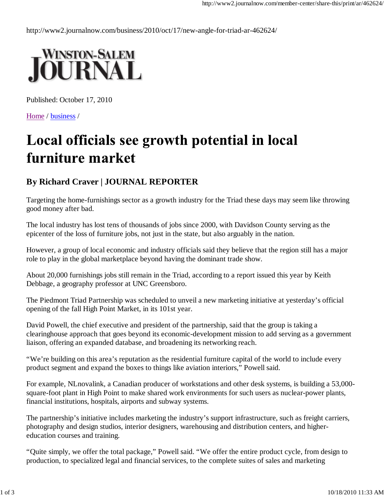http://www2.journalnow.com/business/2010/oct/17/new-angle-for-triad-ar-462624/



Published: October 17, 2010

Home / business /

## Local officials see growth potential in local furniture market

## **By Richard Craver | JOURNAL REPORTER**

Targeting the home-furnishings sector as a growth industry for the Triad these days may seem like throwing good money after bad.

The local industry has lost tens of thousands of jobs since 2000, with Davidson County serving as the epicenter of the loss of furniture jobs, not just in the state, but also arguably in the nation.

However, a group of local economic and industry officials said they believe that the region still has a major role to play in the global marketplace beyond having the dominant trade show.

About 20,000 furnishings jobs still remain in the Triad, according to a report issued this year by Keith Debbage, a geography professor at UNC Greensboro.

The Piedmont Triad Partnership was scheduled to unveil a new marketing initiative at yesterday's official opening of the fall High Point Market, in its 101st year.

David Powell, the chief executive and president of the partnership, said that the group is taking a clearinghouse approach that goes beyond its economic-development mission to add serving as a government liaison, offering an expanded database, and broadening its networking reach.

"We're building on this area's reputation as the residential furniture capital of the world to include every product segment and expand the boxes to things like aviation interiors," Powell said.

For example, NLnovalink, a Canadian producer of workstations and other desk systems, is building a 53,000 square-foot plant in High Point to make shared work environments for such users as nuclear-power plants, financial institutions, hospitals, airports and subway systems.

The partnership's initiative includes marketing the industry's support infrastructure, such as freight carriers, photography and design studios, interior designers, warehousing and distribution centers, and highereducation courses and training.

"Quite simply, we offer the total package," Powell said. "We offer the entire product cycle, from design to production, to specialized legal and financial services, to the complete suites of sales and marketing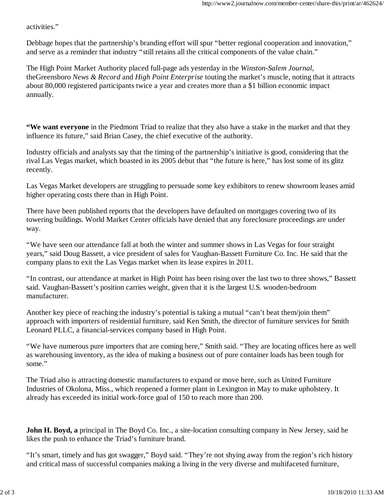activities."

Debbage hopes that the partnership's branding effort will spur "better regional cooperation and innovation," and serve as a reminder that industry "still retains all the critical components of the value chain."

The High Point Market Authority placed full-page ads yesterday in the *Winston-Salem Journal*, theGreensboro *News & Record* and *High Point Enterprise* touting the market's muscle, noting that it attracts about 80,000 registered participants twice a year and creates more than a \$1 billion economic impact annually.

**"We want everyone** in the Piedmont Triad to realize that they also have a stake in the market and that they influence its future," said Brian Casey, the chief executive of the authority.

Industry officials and analysts say that the timing of the partnership's initiative is good, considering that the rival Las Vegas market, which boasted in its 2005 debut that "the future is here," has lost some of its glitz recently.

Las Vegas Market developers are struggling to persuade some key exhibitors to renew showroom leases amid higher operating costs there than in High Point.

There have been published reports that the developers have defaulted on mortgages covering two of its towering buildings. World Market Center officials have denied that any foreclosure proceedings are under way.

"We have seen our attendance fall at both the winter and summer shows in Las Vegas for four straight years," said Doug Bassett, a vice president of sales for Vaughan-Bassett Furniture Co. Inc. He said that the company plans to exit the Las Vegas market when its lease expires in 2011.

"In contrast, our attendance at market in High Point has been rising over the last two to three shows," Bassett said. Vaughan-Bassett's position carries weight, given that it is the largest U.S. wooden-bedroom manufacturer.

Another key piece of reaching the industry's potential is taking a mutual "can't beat them/join them" approach with importers of residential furniture, said Ken Smith, the director of furniture services for Smith Leonard PLLC, a financial-services company based in High Point.

"We have numerous pure importers that are coming here," Smith said. "They are locating offices here as well as warehousing inventory, as the idea of making a business out of pure container loads has been tough for some."

The Triad also is attracting domestic manufacturers to expand or move here, such as United Furniture Industries of Okolona, Miss., which reopened a former plant in Lexington in May to make upholstery. It already has exceeded its initial work-force goal of 150 to reach more than 200.

**John H. Boyd, a** principal in The Boyd Co. Inc., a site-location consulting company in New Jersey, said he likes the push to enhance the Triad's furniture brand.

"It's smart, timely and has got swagger," Boyd said. "They're not shying away from the region's rich history and critical mass of successful companies making a living in the very diverse and multifaceted furniture,